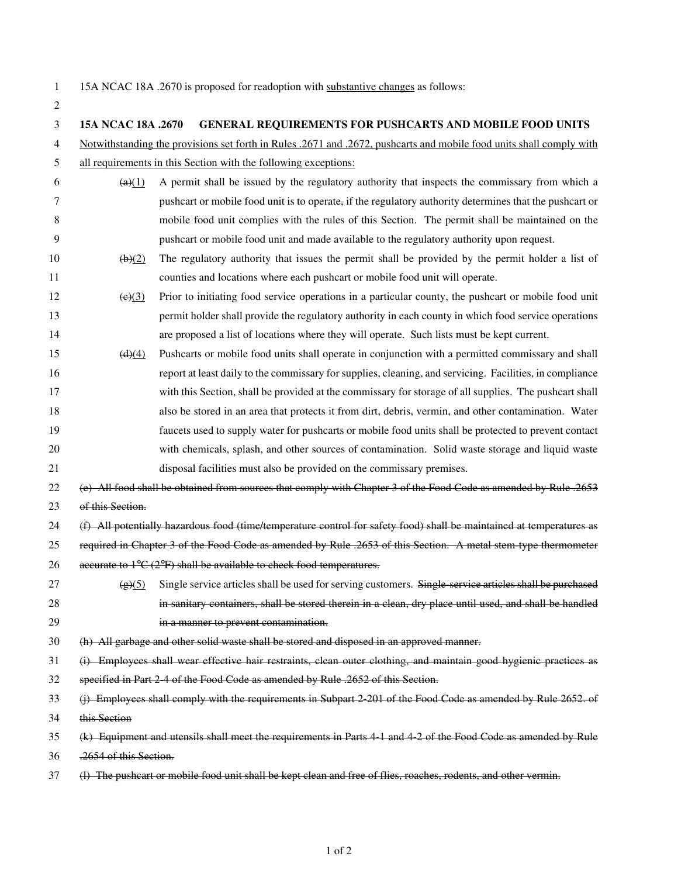$\overline{2}$ 

| 15A NCAC 18A .2670 is proposed for readoption with substantive changes as follows: |
|------------------------------------------------------------------------------------|
|------------------------------------------------------------------------------------|

| 15A NCAC 18A .2670                                                                                                      | <b>GENERAL REQUIREMENTS FOR PUSHCARTS AND MOBILE FOOD UNITS</b>                                                      |  |
|-------------------------------------------------------------------------------------------------------------------------|----------------------------------------------------------------------------------------------------------------------|--|
|                                                                                                                         | Notwithstanding the provisions set forth in Rules .2671 and .2672, pushcarts and mobile food units shall comply with |  |
| all requirements in this Section with the following exceptions:<br>5                                                    |                                                                                                                      |  |
| $\left( a\right) (1)$                                                                                                   | A permit shall be issued by the regulatory authority that inspects the commissary from which a                       |  |
|                                                                                                                         | pushcart or mobile food unit is to operate, if the regulatory authority determines that the pushcart or              |  |
|                                                                                                                         | mobile food unit complies with the rules of this Section. The permit shall be maintained on the                      |  |
|                                                                                                                         | pushcart or mobile food unit and made available to the regulatory authority upon request.                            |  |
| $\left(\frac{b}{2}\right)$                                                                                              | The regulatory authority that issues the permit shall be provided by the permit holder a list of                     |  |
|                                                                                                                         | counties and locations where each pushcart or mobile food unit will operate.                                         |  |
| (e)(3)                                                                                                                  | Prior to initiating food service operations in a particular county, the pushcart or mobile food unit                 |  |
|                                                                                                                         | permit holder shall provide the regulatory authority in each county in which food service operations                 |  |
|                                                                                                                         | are proposed a list of locations where they will operate. Such lists must be kept current.                           |  |
| $\left( d \right) (4)$                                                                                                  | Pushcarts or mobile food units shall operate in conjunction with a permitted commissary and shall                    |  |
|                                                                                                                         | report at least daily to the commissary for supplies, cleaning, and servicing. Facilities, in compliance             |  |
|                                                                                                                         | with this Section, shall be provided at the commissary for storage of all supplies. The pushcart shall               |  |
|                                                                                                                         | also be stored in an area that protects it from dirt, debris, vermin, and other contamination. Water                 |  |
|                                                                                                                         | faucets used to supply water for pushcarts or mobile food units shall be protected to prevent contact                |  |
|                                                                                                                         | with chemicals, splash, and other sources of contamination. Solid waste storage and liquid waste                     |  |
|                                                                                                                         | disposal facilities must also be provided on the commissary premises.                                                |  |
| 22<br>(e) All food shall be obtained from sources that comply with Chapter 3 of the Food Code as amended by Rule .2653  |                                                                                                                      |  |
| 23<br>of this Section.                                                                                                  |                                                                                                                      |  |
|                                                                                                                         | (f) All potentially hazardous food (time/temperature control for safety food) shall be maintained at temperatures as |  |
|                                                                                                                         | required in Chapter 3 of the Food Code as amended by Rule .2653 of this Section. A metal stem type thermometer       |  |
|                                                                                                                         | accurate to $1^{\circ}$ C ( $2^{\circ}$ F) shall be available to check food temperatures.                            |  |
| (g)(5)                                                                                                                  | Single service articles shall be used for serving customers. Single service articles shall be purchased              |  |
|                                                                                                                         | in sanitary containers, shall be stored therein in a clean, dry place until used, and shall be handled               |  |
|                                                                                                                         | in a manner to prevent contamination.                                                                                |  |
|                                                                                                                         | (h) All garbage and other solid waste shall be stored and disposed in an approved manner.                            |  |
| 31<br>(i) Employees shall wear effective hair restraints, clean outer clothing, and maintain good hygienic practices as |                                                                                                                      |  |
| 32<br>specified in Part 2 4 of the Food Code as amended by Rule .2652 of this Section.                                  |                                                                                                                      |  |
| 33<br>(j) Employees shall comply with the requirements in Subpart 2 201 of the Food Code as amended by Rule 2652. of    |                                                                                                                      |  |
| 34<br>this Section                                                                                                      |                                                                                                                      |  |
| 35<br>(k) Equipment and utensils shall meet the requirements in Parts 4 1 and 4 2 of the Food Code as amended by Rule   |                                                                                                                      |  |
| .2654 of this Section.<br>36                                                                                            |                                                                                                                      |  |
| (I) The pushcart or mobile food unit shall be kept clean and free of flies, roaches, rodents, and other vermin.         |                                                                                                                      |  |
|                                                                                                                         |                                                                                                                      |  |